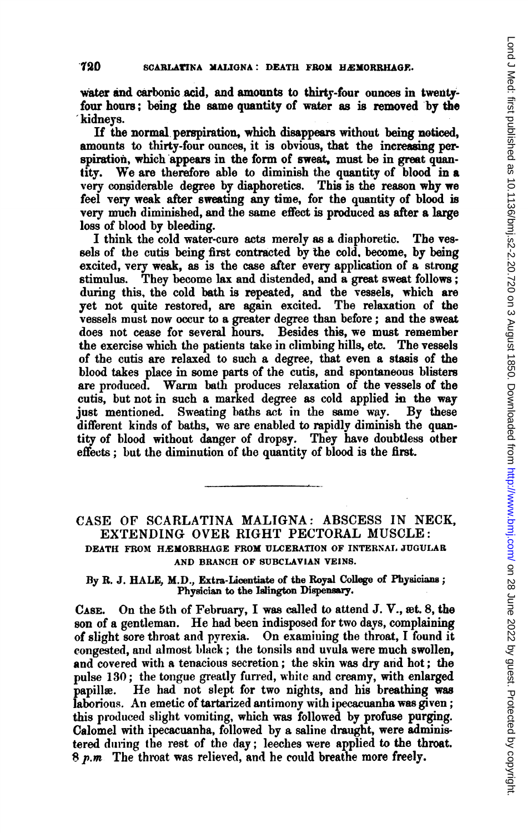water and carbonic acid, and amounts to thirty-four ounces in twentyfour hours; being the same quantity of water as is removed by the kidneys.

If the normal perspiration, which disappears without being noticed, amounts to thirty-four ounces, it is obvious, that the increasing perspiration, which appears in the form of sweat, must be in great quantity. We are therefore able to diminish the quantity of blood in <sup>a</sup> very considerable degree by diaphoretics. This is the reason why we feel very weak after sweating any time, for the quantity of blood is very much diminished, and the same effect is produced as after a large loss of blood by bleeding.

I think the cold water-cure acts merely as a diaphoretic. The vessels of the cutis being first contracted by the cold, become, by being excited, very weak, as is the case after every application of a strong stimulus. They become lax and distended, and a great sweat follows; during this, the cold bath is repeated, and the vessels, which are yet not quite restored, are again excited. The relaxation of the vessels must now occur to a greater degree than before; and the sweat does not cease for several hours. Besides this, we must remember the exercise which the patients take in climbing hills, etc. The vessels of the cutis are relaxed to such <sup>a</sup> degree, that even a stasis of the blood takes place in some parts of the cutis, and spontaneous blisters are produced. Warm bath produces relaxation of the vessels of the cutis, but not in such a marked degree as cold applied in the way just mentioned. Sweating baths act in the same way. By these different kinds of baths, we are enabled to rapidly diminish the quantity of blood without danger of dropsy. They have doubtless otber effects; but the diminution of the quantity of blood is the first.

## CASE OF SCARLATINA MALIGNA: ABSCESS IN NECK, EXTENDING OVER RIGHT PECTORAL MUSCLE: DEATH FROM HEMORRHAGE FROM ULCERATION OF INTERNAL JUGULAR AND BRANCH OF SUBCIAVIAN VEINS.

By R. J. HALE, M.D., Extra-Licentiate of the Royal College of Physicians; Physician to the Islington Dispensary.

CASE. On the 5th of February, <sup>I</sup> was called to attend J. V., wet. 8, the son of a gentleman. He had been indisposed for two days, complaining of slight sore throat and pyrexia. On examining the throat, <sup>I</sup> found it congested, and almost black; the tonsils and uvula were much swollen, and covered witl a tenacious secretion; the skin was dry and hot; the pulse 130; the tongue greatly furred, white and creamy, with enlarged papillae. He had not slept for two nights, and his breathing was laborious. An emetic of tartarized antimony with ipecacuanha was given; this produced slight vomiting, which was followed by profuse purging. Calomel with ipecacuanha, followed by a saline draught, were administered during the rest of the day; leeches were applied to the throat.  $8$   $p.m$  The throat was relieved, and he could breathe more freely.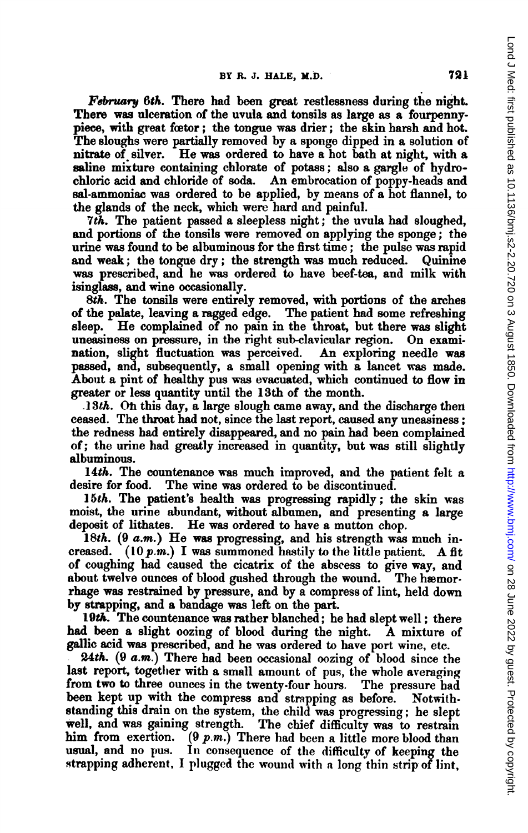February 6th. There had been great restlessness during the night. There was alceration of the uvula and tonsils as large as a fourpennypiece, with great fector; the tongue was drier; the skin harsh and hot. The sloughs were partially removed by a sponge dipped in a solution of nitrate of. silver. He was ordered to have <sup>a</sup> hot bath at night, with <sup>a</sup> saline mixture containing chlorate of potass; also a gargle of hydrochloric acid and chloride of soda. An embrocation of poppy-heads and sal-ammoniac was ordered to be applied, by means of a hot flannel, to the glands of the neck, which were hard and painful.

7th. The patient passed a sleepless night; the uvula had sloughed, and portions of the tonsils were removed on applying the sponge; the urine was found to be albuminous for the first time; the pulse was rapid and weak; the tongue dry; the strength was much reduced. Quinine was prescribed, and he was ordered to have beef-tea, and milk with isinglass, and wine occasionally.

8th. The tonsils were entirely removed, with portions of the arches of the palate, leaving a ragged edge. The patient had some refreshing sleep. He complained of no pain in the throat, but there was slight<br>uneasiness on pressure, in the right sub-clavicular region. On examiuneasiness on pressure, in the right sub-clavicular region. nation, slight fluctuation was perceived. An exploring needle was passed, and, subsequently, a small opening with a lancet was made. Abouit a pint of healthy pus was evacuated, which continued to flow in greater or less quantity until the 13th of the month.

 $.13th.$  On this day, a large slough came away, and the discharge then ceased. The throat had not, since the last report, caused any uneasiness; the redness bad entirely disappeared, and no pain had been complained of; the urine had greatly increased in quantity, but was still slightly albuminous.

14th. The countenance was much improved, and the patient felt a desire for food. The wine was ordered to be discontinued.

15th. The patient's health was progressing rapidly; the skin was moist, the urine abundant, without albumen, and presenting a large deposit of lithates. He was ordered to have a mutton chop.

18th. (9 a.m.) He was progressing, and his strength was much increased. (10  $p.m.$ ) I was summoned hastily to the little patient. A fit of coughing had caused the cicatrix of the abscess to give way, and about twelve ounces of blood gushed through the wound. The hæmorrhage was restrained by pressure, and by a compress of lint, held down by strapping, and a bandage was left on the part.

I9th. The countenance was rather blanched; he had slept well; there had been <sup>a</sup> slight oozing of blood during the night. A mixture of gallic acid was prescribed, and he was ordered to have port wine, etc.

24th. (9 a.m.) There had been occasional oozing of blood since the last report, together with a small amount of pus, the whole averaging from two to three ounces in the twenty-four hours. The pressure bad been kept up with the compress and strapping as before. Notwithstanding this drain on the system, the child was progressing; he slept well, and was gaining strength. The chief difficulty was to restrain him from exertion.  $(9 \ p.m.)$  There had been a little more blood than usual, and no pus. In consequence of the difficulty of keeping the strapping adherent, I plugged the wound with a long thin strip of lint,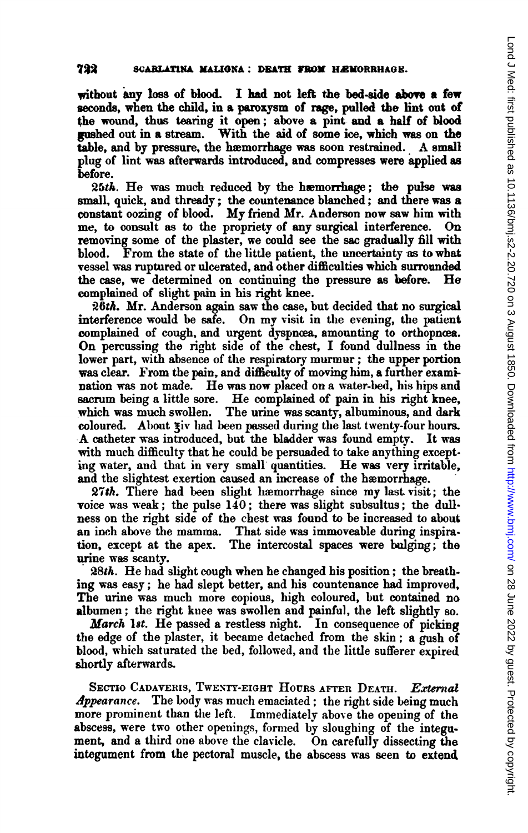without any loss of blood. I had not left the bed-side above a few seconds, when the child, in a paroxysm of rage, pulled the lint out of the wound, thus tearing it open; above a pint and a half of blood gushed out in a stream. With the aid of some ice, which was on the table, and by pressure, the hæmorrhage was soon restrained. A small plug of lint was afterwards introduced, and compresses were applied as before.

 $25th$ . He was much reduced by the hæmorrhage; the pulse was small, quick, and thready; the countenance blanched; and there was a constant oozing of blood. My friend Mr. Anderson now saw him with me, to consult as to the propriety of any surgical interference. On me, to consult as to the propriety of any surgical interference. removing some of the plaster, we could see the sac gradually fill with blood. From the state of the little patient, the uncertainty as to what vessel was ruptured or ulcerated, and other difficulties which surrounded the case, we determined on continuing the pressure as before. He complained of slight pain in his right knee.

26th. Mr. Anderson again saw the case, but decided that no surgical interference would be safe. On my visit in the evening, the patient complained of cough, and urgent dyspnoea, amounting to orthopnoea. On percussing the right side of the chest, <sup>I</sup> found dullness in the lower part, with absence of the respiratory murmur; the upper portion was clear. From the pain, and difficulty of moving him, a further examination was not made. He was now placed on <sup>a</sup> water-bed, his hips and sacrum being <sup>a</sup> little sore. He complained of pain in his right knee, which was much swollen. The urine was scanty, albuminous, and dark coloured. About ziv had been passed during the last twenty-four hours. A catheter was introduced, but the bladder was found empty. It was with much difficulty that he could be persuaded to take anything except. ing water, and that in very small quantities. He was very irritable, and the slightest exertion caused an increase of the haemorrhage.

27th. There had been slight hæmorrhage since my last visit; the voice was weak; the pulse 140; there was slight subsultus; the dullness on the right side of the chest was found to be increased to about an inch above the mamma. That side was immoveable during inspiration, except at the apex. The intercostal spaces were bulging; the urine was scanty.

28th. He had slight cough when he changed his position; the breathing was easy; he had slept better, and his countenance had improved, The urine was much more copious, high coloured, but contained no albumen; the right kuee was swollen and painful, the left slightly so.

March 18t. He passed a restless night. In consequence of picking the edge of the plaster, it became detached from the skin; a gush of blood, which saturated the bed, followed, and the little sufferer expired shortly afterwards.

SECTIO CADAVERIS, TWENTY-EIGHT HOURS AFTER DEATH. External Appearance. The body was much emaciated; the right side being much more prominent than the left. Immediately above the opening of the abscess, were two other openings, formed by sloughing of the integument, and a third one above the clavicle. On carefully dissecting the integument from the pectoral muscle, the abscess was seen to extend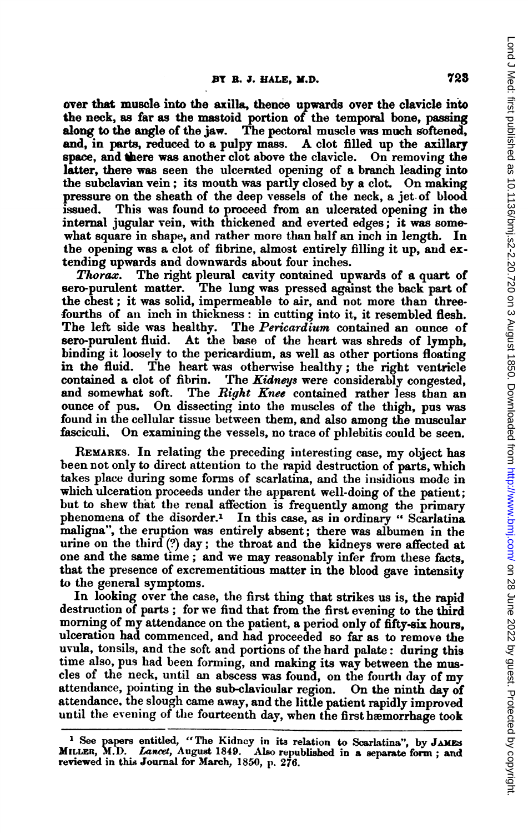over that muscle into the axilla, thence upwards over the clavicle into the neck, as far as the mastoid portion of the temporal bone, passing along to the angle of the jaw. The pectoral muscle was much softened, The pectoral muscle was much softened, and, in parts, reduced to a pulpy mass. A clot filled up the axillary space, and there was another clot above the clavicle. On removing the latter, there was seen the ulcerated opening of a branch leading into the subclavian vein; its mouth was partly closed by <sup>a</sup> clot. On making pressure on the sheath of the deep vessels of the neck, a jet. of blood issued. This was found to proceed from an ulcerated opening in the internal jugular vein, with thickened and everted edges; it was somewhat square in shape, and rather more than half an inch in length. In the opening was a clot of fibrine, almost entirely filling it up, and extending upwards and downwards about four inches.

Thorax. The right pleural cavity contained upwards of a quart of sero-purulent matter. The lung was pressed against the back part of The lung was pressed against the back part of the chest; it was solid, impermeable to air, and not more than threefourths of an inch in thickness: in cutting into it, it resembled flesh.<br>The left side was healthy. The *Pericardium* contained an ounce of The left side was healthy. The *Pericardium* contained an ounce of sero-purulent fluid. At the base of the heart was shreds of lymph. At the base of the heart was shreds of lymph, binding it loosely to the pericardium, as well as other portions floating in the fluid. The heart was othermise healthy; the right ventricle contained a clot of fibrin. The Kidneys were considerably congested, and somewhat soft. The Right Knee contained rather less than an The Right Knee contained rather less than an ounce of pus. On dissecting into the muscles of the thigh, pus was found in the cellular tissue between them, and also among the muscular fasciculi. On examining the vessels, no trace of phlebitis could be seen.

REMARKS. In relating the preceding interesting case, my object has been not only to direct attention to the rapid destruction of parts, which takes place during some forms of scarlatina, and the insidious mode in which ulceration proceeds under the apparent well-doing of the patient; but to shew that the renal affection is frequently among the primary phenomena of the disorder.<sup>1</sup> In this case, as in ordinary "Scarlatina maligna", the eruption was entirely absent; there was albumen in the urine on the third (?) day; the throat and the kidneys were affected at one and the same time; and we may reasonably infer from these facts, that the presence of excrementitious matter in the blood gave intensity to the general symptoms.

In looking over the case, the first thing that strikes us is, the rapid destruction of parts; for we find that from the first evening to the third morning of my attendance on the patient, <sup>a</sup> period only of fifty-six hours, ulceration had commenced, and had proceeded so far as to remove the uvula, tonsils, and the soft and portions of the hard palate: during this time also, pus had been forming, and making its way between the muscles of the neck, unitil an abscess was found, on the fourth day of my attendance, pointing in the sub-clavicular region. On the ninth day of attendance. the slough came away, and the little patient rapidly improved until the evening of the fourteenth day, when the first hæmorrhage took

<sup>&</sup>lt;sup>1</sup> See papers entitled, "The Kidney in its relation to Scarlatina", by JAMES MILLER, M.D. Lancet, August 1849. Also republished in a separate form; and reviewed in this Journal for March, 1850, p. 276.